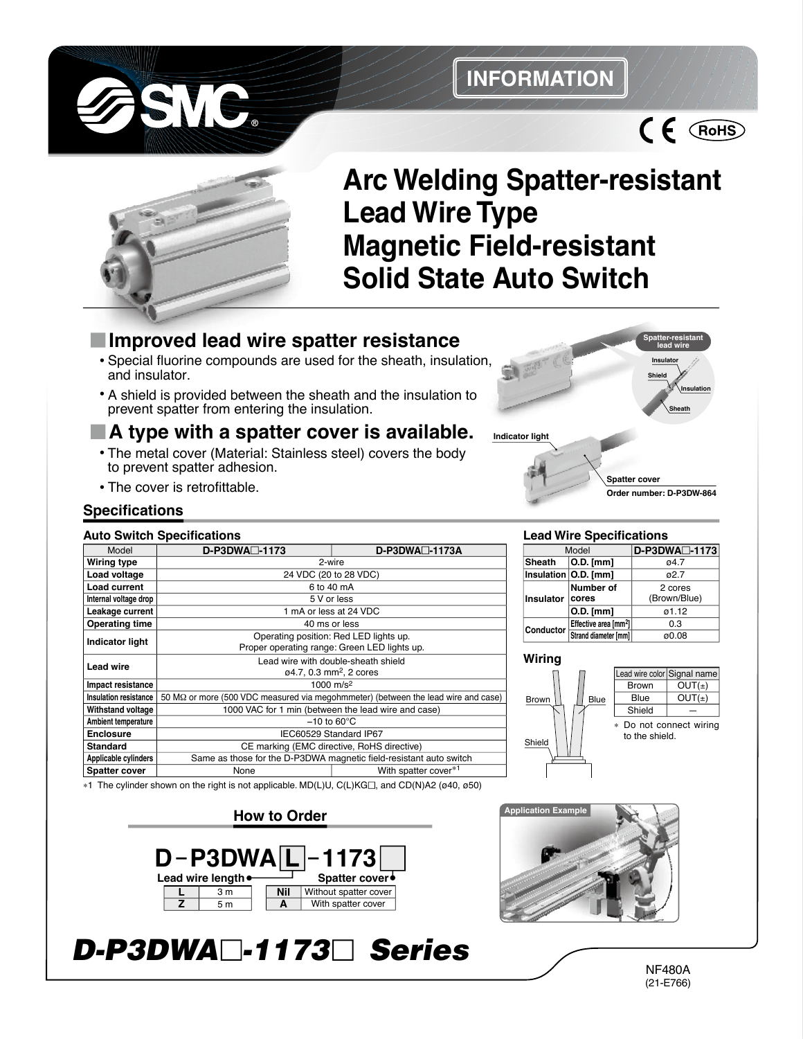

## **INFORMATION**





# **Arc Welding Spatter-resistant Lead Wire Type Magnetic Field-resistant Solid State Auto Switch**

## **Improved lead wire spatter resistance**

- **•** Special fluorine compounds are used for the sheath, insulation, and insulator.
- **•** A shield is provided between the sheath and the insulation to prevent spatter from entering the insulation.

### **A type with a spatter cover is available.**

- **•** The metal cover (Material: Stainless steel) covers the body to prevent spatter adhesion.
- **•** The cover is retrofittable.

#### **Specifications**

#### **Auto Switch Specifications**

| <b>AUIU JWIIUII JUCUIIIUAIIUIIS</b>                                                                                  |                                                                                           |                       |  |  |  |  |  |  |
|----------------------------------------------------------------------------------------------------------------------|-------------------------------------------------------------------------------------------|-----------------------|--|--|--|--|--|--|
| Model                                                                                                                | D-P3DWA <sup>-1173</sup>                                                                  | $D-P3DWA \Box -1173A$ |  |  |  |  |  |  |
| Wiring type                                                                                                          | 2-wire                                                                                    |                       |  |  |  |  |  |  |
| Load voltage                                                                                                         | 24 VDC (20 to 28 VDC)                                                                     |                       |  |  |  |  |  |  |
| Load current                                                                                                         | 6 to 40 mA                                                                                |                       |  |  |  |  |  |  |
| Internal voltage drop                                                                                                | 5 V or less                                                                               |                       |  |  |  |  |  |  |
| Leakage current                                                                                                      | 1 mA or less at 24 VDC                                                                    |                       |  |  |  |  |  |  |
| <b>Operating time</b>                                                                                                | 40 ms or less                                                                             |                       |  |  |  |  |  |  |
| <b>Indicator light</b>                                                                                               | Operating position: Red LED lights up.                                                    |                       |  |  |  |  |  |  |
|                                                                                                                      | Proper operating range: Green LED lights up.                                              |                       |  |  |  |  |  |  |
| <b>Lead wire</b>                                                                                                     | Lead wire with double-sheath shield                                                       |                       |  |  |  |  |  |  |
|                                                                                                                      | $\varphi$ 4.7, 0.3 mm <sup>2</sup> , 2 cores                                              |                       |  |  |  |  |  |  |
| Impact resistance                                                                                                    | 1000 m/s <sup>2</sup>                                                                     |                       |  |  |  |  |  |  |
| Insulation resistance                                                                                                | 50 M $\Omega$ or more (500 VDC measured via megohmmeter) (between the lead wire and case) |                       |  |  |  |  |  |  |
| Withstand voltage                                                                                                    | 1000 VAC for 1 min (between the lead wire and case)                                       |                       |  |  |  |  |  |  |
| Ambient temperature                                                                                                  | $-10$ to 60 $\degree$ C                                                                   |                       |  |  |  |  |  |  |
| <b>Enclosure</b>                                                                                                     | IEC60529 Standard IP67                                                                    |                       |  |  |  |  |  |  |
| Standard                                                                                                             | CE marking (EMC directive, RoHS directive)                                                |                       |  |  |  |  |  |  |
| Applicable cylinders                                                                                                 | Same as those for the D-P3DWA magnetic field-resistant auto switch                        |                       |  |  |  |  |  |  |
| Spatter cover                                                                                                        | With spatter cover*1<br>None                                                              |                       |  |  |  |  |  |  |
| $\sim$ 1. The eviluder shown on the right is not applicable. MD(L)LLC(L)KGE, and CD(N)A2 ( $\alpha$ 40, $\alpha$ 50) |                                                                                           |                       |  |  |  |  |  |  |

#### ∗1 The cylinder shown on the right is not applicable. MD(L)U, C(L)KG⊡, and CD(N)A2 (ø40, ø50)

#### **How to Order**





# *D-P3DWA -1173 Series*

NF480A (21-E766)

#### **Lead Wire Specifications**

|           | Model                             | D-P3DWA <sup>-1173</sup> |  |  |
|-----------|-----------------------------------|--------------------------|--|--|
| Sheath    | $ O.D.$ [mm]                      | ø4.7                     |  |  |
|           | Insulation   O.D. [mm]            | ด2 7                     |  |  |
| Insulator | Number of<br>cores                | 2 cores<br>(Brown/Blue)  |  |  |
|           | $O.D.$ [mm]                       | 01.12                    |  |  |
| Conductor | Effective area [mm <sup>2</sup> ] | 0.3                      |  |  |
|           | Strand diameter [mm]              | ø0.08                    |  |  |